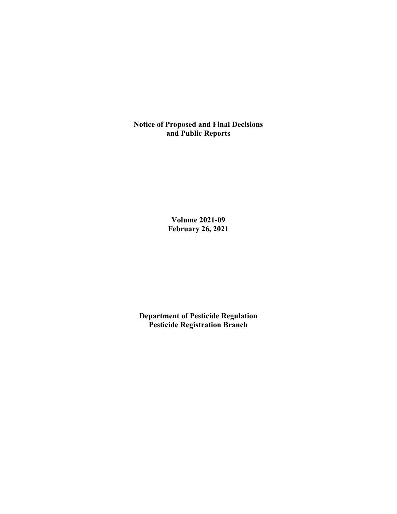**Notice of Proposed and Final Decisions and Public Reports**

> **Volume 2021-09 February 26, 2021**

**Department of Pesticide Regulation Pesticide Registration Branch**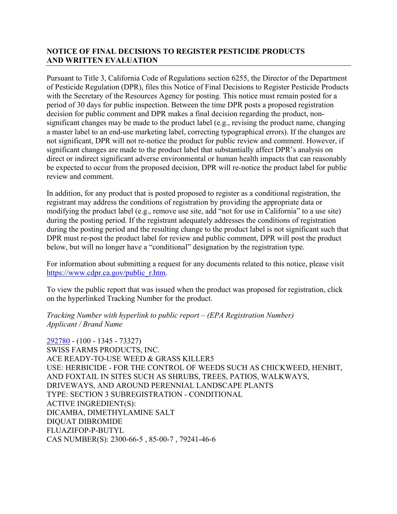# **NOTICE OF FINAL DECISIONS TO REGISTER PESTICIDE PRODUCTS AND WRITTEN EVALUATION**

Pursuant to Title 3, California Code of Regulations section 6255, the Director of the Department of Pesticide Regulation (DPR), files this Notice of Final Decisions to Register Pesticide Products with the Secretary of the Resources Agency for posting. This notice must remain posted for a period of 30 days for public inspection. Between the time DPR posts a proposed registration decision for public comment and DPR makes a final decision regarding the product, nonsignificant changes may be made to the product label (e.g., revising the product name, changing a master label to an end-use marketing label, correcting typographical errors). If the changes are not significant, DPR will not re-notice the product for public review and comment. However, if significant changes are made to the product label that substantially affect DPR's analysis on direct or indirect significant adverse environmental or human health impacts that can reasonably be expected to occur from the proposed decision, DPR will re-notice the product label for public review and comment.

In addition, for any product that is posted proposed to register as a conditional registration, the registrant may address the conditions of registration by providing the appropriate data or modifying the product label (e.g., remove use site, add "not for use in California" to a use site) during the posting period. If the registrant adequately addresses the conditions of registration during the posting period and the resulting change to the product label is not significant such that DPR must re-post the product label for review and public comment, DPR will post the product below, but will no longer have a "conditional" designation by the registration type.

For information about submitting a request for any documents related to this notice, please visit [https://www.cdpr.ca.gov/public\\_r.htm.](https://www.cdpr.ca.gov/public_r.htm)

To view the public report that was issued when the product was proposed for registration, click on the hyperlinked Tracking Number for the product.

#### *Tracking Number with hyperlink to public report – (EPA Registration Number) Applicant / Brand Name*

[292780](https://www.cdpr.ca.gov/docs/registration/nod/public_reports/292780.pdf) - (100 - 1345 - 73327) SWISS FARMS PRODUCTS, INC. ACE READY-TO-USE WEED & GRASS KILLER5 USE: HERBICIDE - FOR THE CONTROL OF WEEDS SUCH AS CHICKWEED, HENBIT, AND FOXTAIL IN SITES SUCH AS SHRUBS, TREES, PATIOS, WALKWAYS, DRIVEWAYS, AND AROUND PERENNIAL LANDSCAPE PLANTS TYPE: SECTION 3 SUBREGISTRATION - CONDITIONAL ACTIVE INGREDIENT(S): DICAMBA, DIMETHYLAMINE SALT DIQUAT DIBROMIDE FLUAZIFOP-P-BUTYL CAS NUMBER(S): 2300-66-5 , 85-00-7 , 79241-46-6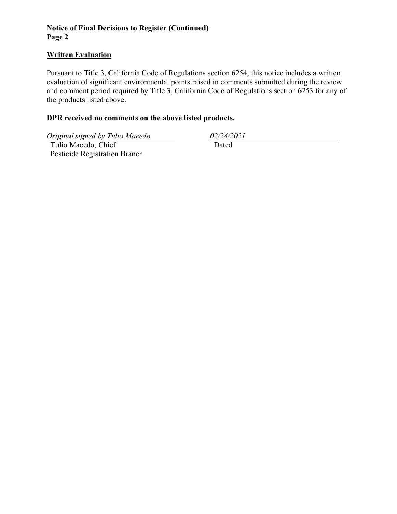# **Notice of Final Decisions to Register (Continued) Page 2**

## **Written Evaluation**

Pursuant to Title 3, California Code of Regulations section 6254, this notice includes a written evaluation of significant environmental points raised in comments submitted during the review and comment period required by Title 3, California Code of Regulations section 6253 for any of the products listed above.

# **DPR received no comments on the above listed products.**

*Original signed by Tulio Macedo 02/24/2021*

 Tulio Macedo, Chief Pesticide Registration Branch

Dated